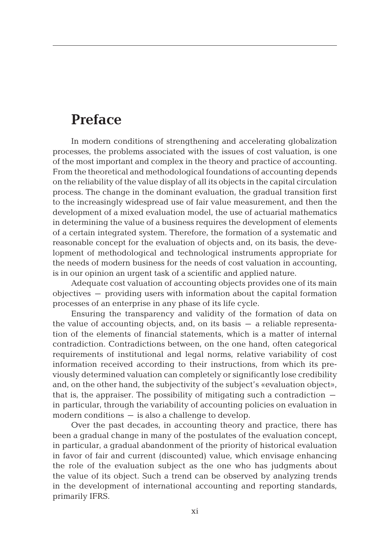## **Preface**

In modern conditions of strengthening and accelerating globalization processes, the problems associated with the issues of cost valuation, is one of the most important and complex in the theory and practice of accounting. From the theoretical and methodological foundations of accounting depends on the reliability of the value display of all its objects in the capital circulation process. The change in the dominant evaluation, the gradual transition first to the increasingly widespread use of fair value measurement, and then the development of a mixed evaluation model, the use of actuarial mathematics in determining the value of a business requires the development of elements of a certain integrated system. Therefore, the formation of a systematic and reasonable concept for the evaluation of objects and, on its basis, the development of methodological and technological instruments appropriate for the needs of modern business for the needs of cost valuation in accounting, is in our opinion an urgent task of a scientific and applied nature.

Adequate cost valuation of accounting objects provides one of its main objectives – providing users with information about the capital formation processes of an enterprise in any phase of its life cycle.

Ensuring the transparency and validity of the formation of data on the value of accounting objects, and, on its basis – a reliable representation of the elements of financial statements, which is a matter of internal contradiction. Contradictions between, on the one hand, often categorical requirements of institutional and legal norms, relative variability of cost information received according to their instructions, from which its previously determined valuation can completely or significantly lose credibility and, on the other hand, the subjectivity of the subject's «evaluation object», that is, the appraiser. The possibility of mitigating such a contradiction  $$ in particular, through the variability of accounting policies on evaluation in modern conditions – is also a challenge to develop.

Over the past decades, in accounting theory and practice, there has been a gradual change in many of the postulates of the evaluation concept, in particular, a gradual abandonment of the priority of historical evaluation in favor of fair and current (discounted) value, which envisage enhancing the role of the evaluation subject as the one who has judgments about the value of its object. Such a trend can be observed by analyzing trends in the development of international accounting and reporting standards, primarily IFRS.